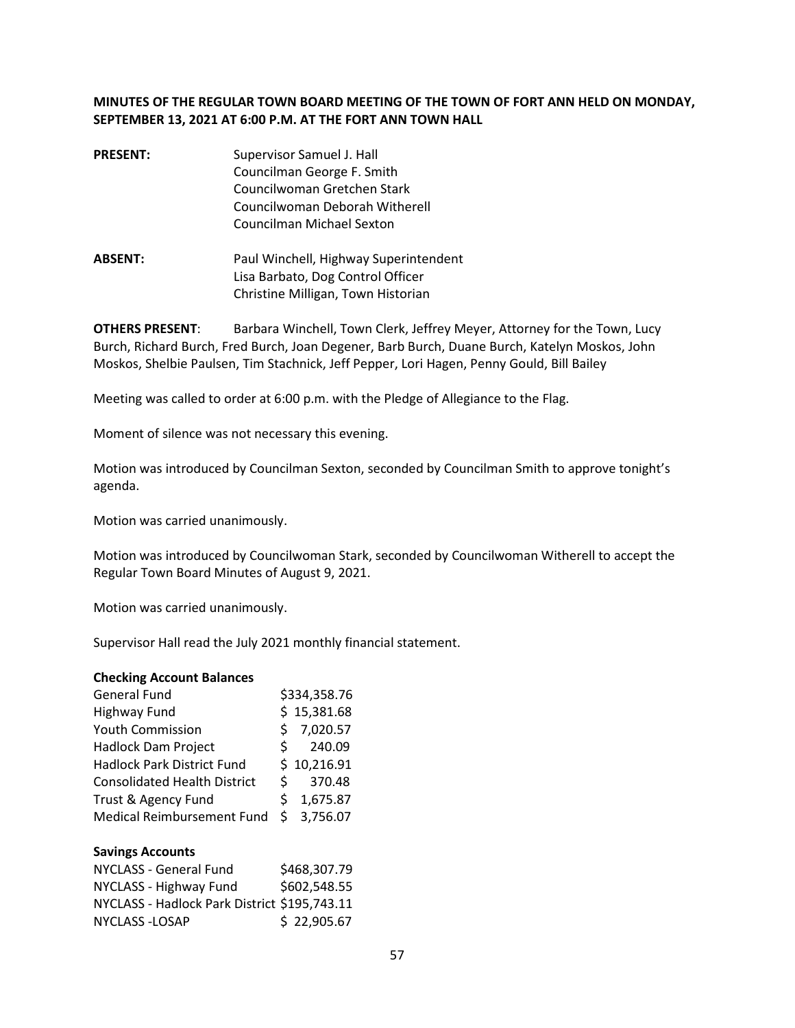# **MINUTES OF THE REGULAR TOWN BOARD MEETING OF THE TOWN OF FORT ANN HELD ON MONDAY, SEPTEMBER 13, 2021 AT 6:00 P.M. AT THE FORT ANN TOWN HALL**

- **PRESENT:** Supervisor Samuel J. Hall Councilman George F. Smith Councilwoman Gretchen Stark Councilwoman Deborah Witherell Councilman Michael Sexton
- **ABSENT:** Paul Winchell, Highway Superintendent Lisa Barbato, Dog Control Officer Christine Milligan, Town Historian

**OTHERS PRESENT**: Barbara Winchell, Town Clerk, Jeffrey Meyer, Attorney for the Town, Lucy Burch, Richard Burch, Fred Burch, Joan Degener, Barb Burch, Duane Burch, Katelyn Moskos, John Moskos, Shelbie Paulsen, Tim Stachnick, Jeff Pepper, Lori Hagen, Penny Gould, Bill Bailey

Meeting was called to order at 6:00 p.m. with the Pledge of Allegiance to the Flag.

Moment of silence was not necessary this evening.

Motion was introduced by Councilman Sexton, seconded by Councilman Smith to approve tonight's agenda.

Motion was carried unanimously.

Motion was introduced by Councilwoman Stark, seconded by Councilwoman Witherell to accept the Regular Town Board Minutes of August 9, 2021.

Motion was carried unanimously.

Supervisor Hall read the July 2021 monthly financial statement.

#### **Checking Account Balances**

| <b>General Fund</b>                 |    | \$334,358.76 |
|-------------------------------------|----|--------------|
| <b>Highway Fund</b>                 |    | \$15,381.68  |
| Youth Commission                    | Ś  | 7,020.57     |
| <b>Hadlock Dam Project</b>          | S. | 240.09       |
| <b>Hadlock Park District Fund</b>   |    | \$10,216.91  |
| <b>Consolidated Health District</b> | S. | 370.48       |
| Trust & Agency Fund                 | \$ | 1,675.87     |
| Medical Reimbursement Fund          | Ŝ. | 3,756.07     |

#### **Savings Accounts**

| NYCLASS - General Fund                       | \$468,307.79 |
|----------------------------------------------|--------------|
| NYCLASS - Highway Fund                       | \$602,548.55 |
| NYCLASS - Hadlock Park District \$195,743.11 |              |
| NYCLASS - LOSAP                              | \$22,905.67  |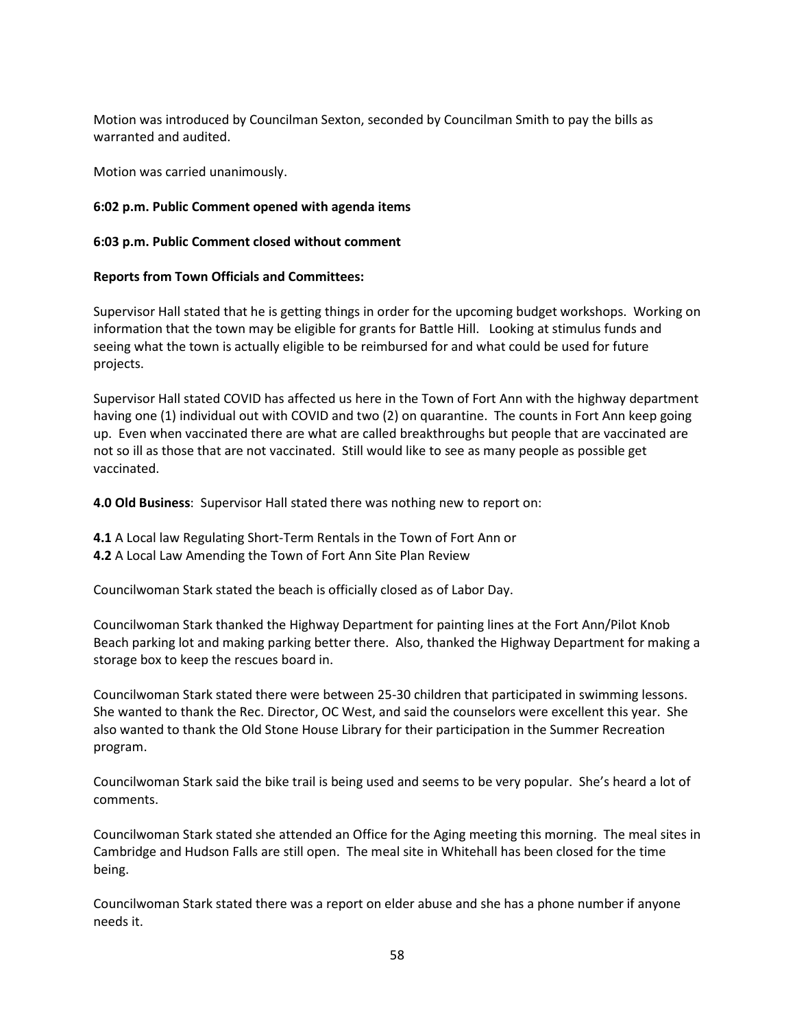Motion was introduced by Councilman Sexton, seconded by Councilman Smith to pay the bills as warranted and audited.

Motion was carried unanimously.

## **6:02 p.m. Public Comment opened with agenda items**

### **6:03 p.m. Public Comment closed without comment**

### **Reports from Town Officials and Committees:**

Supervisor Hall stated that he is getting things in order for the upcoming budget workshops. Working on information that the town may be eligible for grants for Battle Hill. Looking at stimulus funds and seeing what the town is actually eligible to be reimbursed for and what could be used for future projects.

Supervisor Hall stated COVID has affected us here in the Town of Fort Ann with the highway department having one (1) individual out with COVID and two (2) on quarantine. The counts in Fort Ann keep going up. Even when vaccinated there are what are called breakthroughs but people that are vaccinated are not so ill as those that are not vaccinated. Still would like to see as many people as possible get vaccinated.

**4.0 Old Business**: Supervisor Hall stated there was nothing new to report on:

**4.1** A Local law Regulating Short-Term Rentals in the Town of Fort Ann or **4.2** A Local Law Amending the Town of Fort Ann Site Plan Review

Councilwoman Stark stated the beach is officially closed as of Labor Day.

Councilwoman Stark thanked the Highway Department for painting lines at the Fort Ann/Pilot Knob Beach parking lot and making parking better there. Also, thanked the Highway Department for making a storage box to keep the rescues board in.

Councilwoman Stark stated there were between 25-30 children that participated in swimming lessons. She wanted to thank the Rec. Director, OC West, and said the counselors were excellent this year. She also wanted to thank the Old Stone House Library for their participation in the Summer Recreation program.

Councilwoman Stark said the bike trail is being used and seems to be very popular. She's heard a lot of comments.

Councilwoman Stark stated she attended an Office for the Aging meeting this morning. The meal sites in Cambridge and Hudson Falls are still open. The meal site in Whitehall has been closed for the time being.

Councilwoman Stark stated there was a report on elder abuse and she has a phone number if anyone needs it.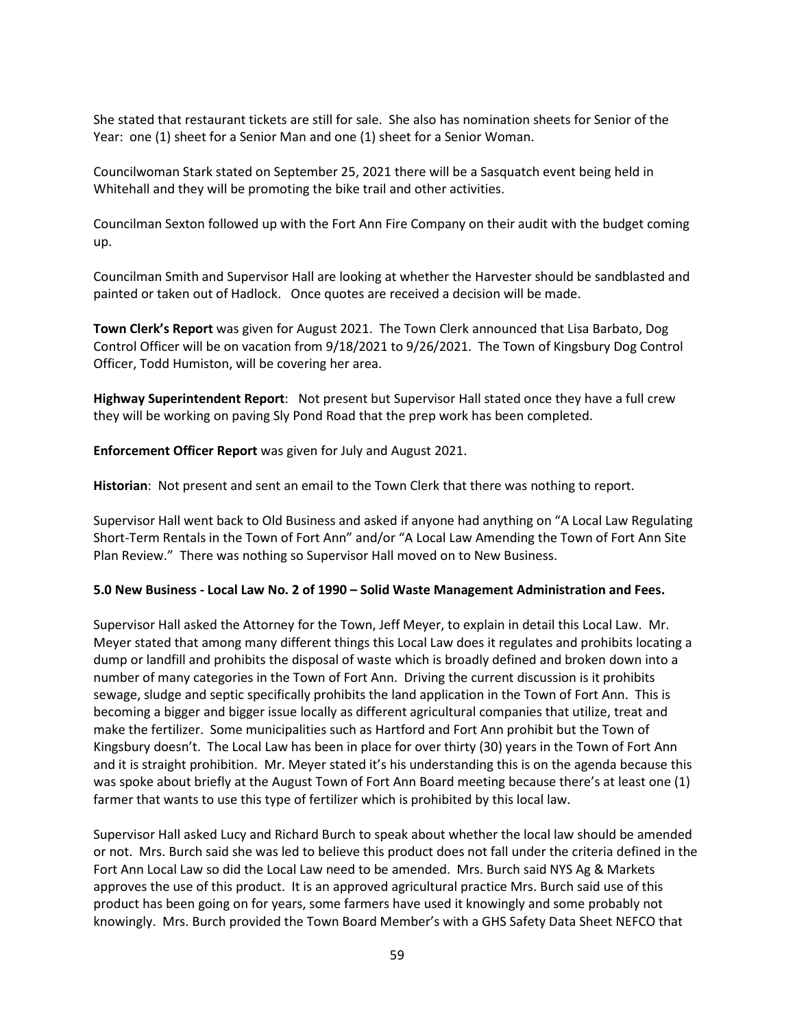She stated that restaurant tickets are still for sale. She also has nomination sheets for Senior of the Year: one (1) sheet for a Senior Man and one (1) sheet for a Senior Woman.

Councilwoman Stark stated on September 25, 2021 there will be a Sasquatch event being held in Whitehall and they will be promoting the bike trail and other activities.

Councilman Sexton followed up with the Fort Ann Fire Company on their audit with the budget coming up.

Councilman Smith and Supervisor Hall are looking at whether the Harvester should be sandblasted and painted or taken out of Hadlock. Once quotes are received a decision will be made.

**Town Clerk's Report** was given for August 2021. The Town Clerk announced that Lisa Barbato, Dog Control Officer will be on vacation from 9/18/2021 to 9/26/2021. The Town of Kingsbury Dog Control Officer, Todd Humiston, will be covering her area.

**Highway Superintendent Report**: Not present but Supervisor Hall stated once they have a full crew they will be working on paving Sly Pond Road that the prep work has been completed.

**Enforcement Officer Report** was given for July and August 2021.

**Historian**: Not present and sent an email to the Town Clerk that there was nothing to report.

Supervisor Hall went back to Old Business and asked if anyone had anything on "A Local Law Regulating Short-Term Rentals in the Town of Fort Ann" and/or "A Local Law Amending the Town of Fort Ann Site Plan Review." There was nothing so Supervisor Hall moved on to New Business.

#### **5.0 New Business - Local Law No. 2 of 1990 – Solid Waste Management Administration and Fees.**

Supervisor Hall asked the Attorney for the Town, Jeff Meyer, to explain in detail this Local Law. Mr. Meyer stated that among many different things this Local Law does it regulates and prohibits locating a dump or landfill and prohibits the disposal of waste which is broadly defined and broken down into a number of many categories in the Town of Fort Ann. Driving the current discussion is it prohibits sewage, sludge and septic specifically prohibits the land application in the Town of Fort Ann. This is becoming a bigger and bigger issue locally as different agricultural companies that utilize, treat and make the fertilizer. Some municipalities such as Hartford and Fort Ann prohibit but the Town of Kingsbury doesn't. The Local Law has been in place for over thirty (30) years in the Town of Fort Ann and it is straight prohibition. Mr. Meyer stated it's his understanding this is on the agenda because this was spoke about briefly at the August Town of Fort Ann Board meeting because there's at least one (1) farmer that wants to use this type of fertilizer which is prohibited by this local law.

Supervisor Hall asked Lucy and Richard Burch to speak about whether the local law should be amended or not. Mrs. Burch said she was led to believe this product does not fall under the criteria defined in the Fort Ann Local Law so did the Local Law need to be amended. Mrs. Burch said NYS Ag & Markets approves the use of this product. It is an approved agricultural practice Mrs. Burch said use of this product has been going on for years, some farmers have used it knowingly and some probably not knowingly. Mrs. Burch provided the Town Board Member's with a GHS Safety Data Sheet NEFCO that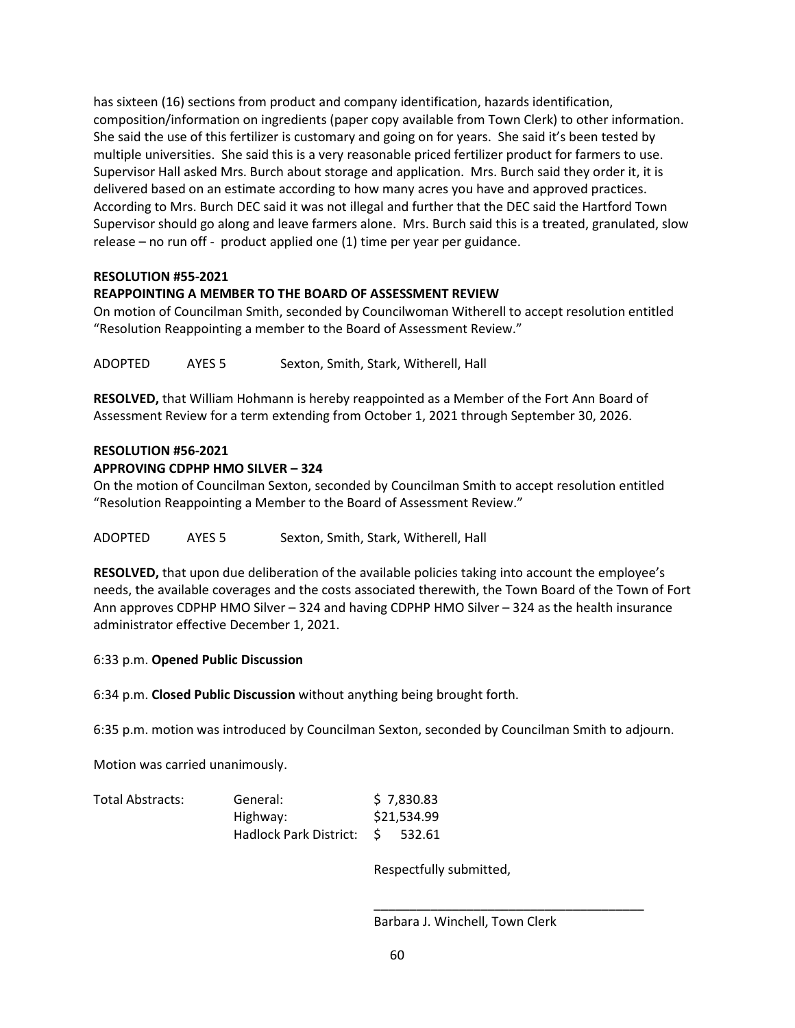has sixteen (16) sections from product and company identification, hazards identification, composition/information on ingredients (paper copy available from Town Clerk) to other information. She said the use of this fertilizer is customary and going on for years. She said it's been tested by multiple universities. She said this is a very reasonable priced fertilizer product for farmers to use. Supervisor Hall asked Mrs. Burch about storage and application. Mrs. Burch said they order it, it is delivered based on an estimate according to how many acres you have and approved practices. According to Mrs. Burch DEC said it was not illegal and further that the DEC said the Hartford Town Supervisor should go along and leave farmers alone. Mrs. Burch said this is a treated, granulated, slow release – no run off - product applied one (1) time per year per guidance.

# **RESOLUTION #55-2021**

# **REAPPOINTING A MEMBER TO THE BOARD OF ASSESSMENT REVIEW**

On motion of Councilman Smith, seconded by Councilwoman Witherell to accept resolution entitled "Resolution Reappointing a member to the Board of Assessment Review."

ADOPTED AYES 5 Sexton, Smith, Stark, Witherell, Hall

**RESOLVED,** that William Hohmann is hereby reappointed as a Member of the Fort Ann Board of Assessment Review for a term extending from October 1, 2021 through September 30, 2026.

## **RESOLUTION #56-2021**

### **APPROVING CDPHP HMO SILVER – 324**

On the motion of Councilman Sexton, seconded by Councilman Smith to accept resolution entitled "Resolution Reappointing a Member to the Board of Assessment Review."

ADOPTED AYES 5 Sexton, Smith, Stark, Witherell, Hall

**RESOLVED,** that upon due deliberation of the available policies taking into account the employee's needs, the available coverages and the costs associated therewith, the Town Board of the Town of Fort Ann approves CDPHP HMO Silver – 324 and having CDPHP HMO Silver – 324 as the health insurance administrator effective December 1, 2021.

## 6:33 p.m. **Opened Public Discussion**

6:34 p.m. **Closed Public Discussion** without anything being brought forth.

6:35 p.m. motion was introduced by Councilman Sexton, seconded by Councilman Smith to adjourn.

Motion was carried unanimously.

| Total Abstracts: | General:                  |  | \$7,830.83  |  |
|------------------|---------------------------|--|-------------|--|
|                  | Highway:                  |  | \$21,534.99 |  |
|                  | Hadlock Park District: \$ |  | 532.61      |  |

Respectfully submitted,

Barbara J. Winchell, Town Clerk

 $\overline{\phantom{a}}$  , and the contract of the contract of the contract of the contract of the contract of the contract of the contract of the contract of the contract of the contract of the contract of the contract of the contrac